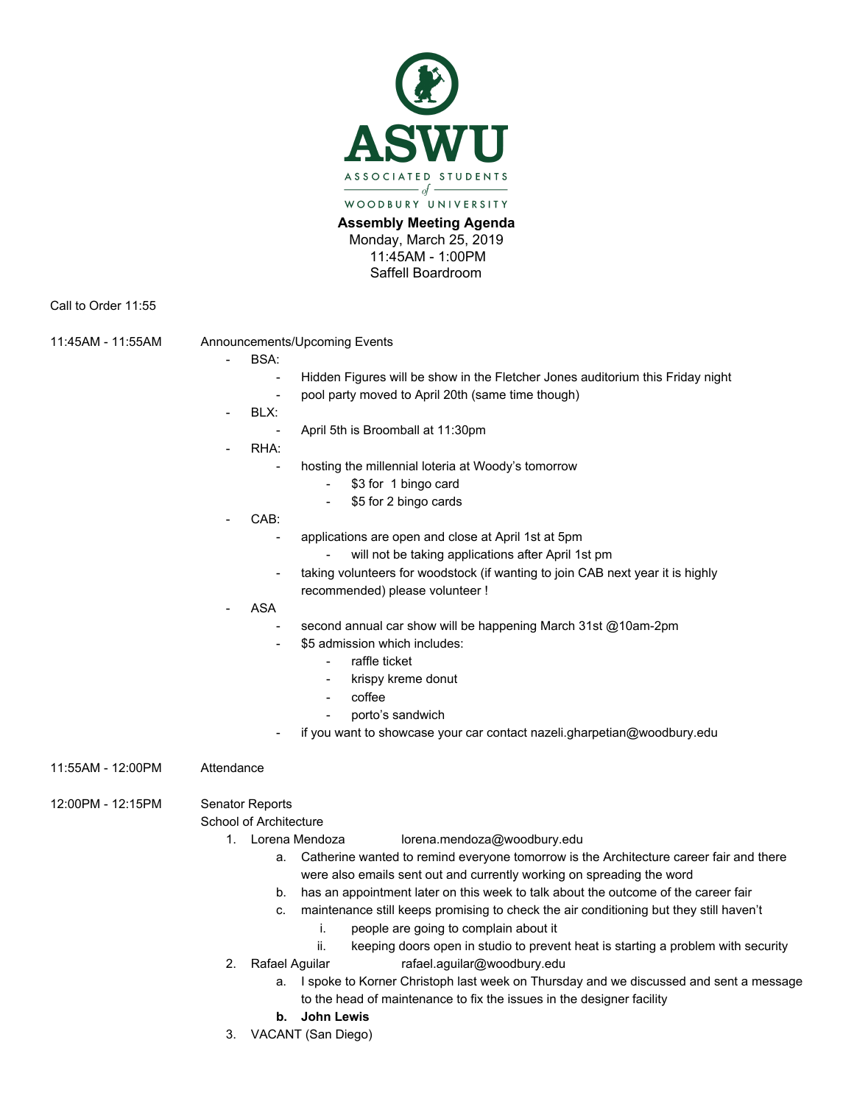

**Assembly Meeting Agenda** Monday, March 25, 2019 11:45AM - 1:00PM Saffell Boardroom

Call to Order 11:55

11:45AM - 11:55AM Announcements/Upcoming Events

- BSA:
	- Hidden Figures will be show in the Fletcher Jones auditorium this Friday night pool party moved to April 20th (same time though)
- BLX:
	- April 5th is Broomball at 11:30pm
- RHA:
	- hosting the millennial loteria at Woody's tomorrow
		- \$3 for 1 bingo card
		- \$5 for 2 bingo cards
- CAB:
	- applications are open and close at April 1st at 5pm
		- will not be taking applications after April 1st pm
	- taking volunteers for woodstock (if wanting to join CAB next year it is highly recommended) please volunteer !
- ASA
	- second annual car show will be happening March 31st @10am-2pm
		- \$5 admission which includes:
			- raffle ticket
			- krispy kreme donut
			- coffee
			- porto's sandwich
		- if you want to showcase your car contact nazeli.gharpetian@woodbury.edu
- 11:55AM 12:00PM Attendance

12:00PM - 12:15PM Senator Reports

## School of Architecture

- 
- 1. Lorena Mendoza lorena.mendoza@woodbury.edu
	- a. Catherine wanted to remind everyone tomorrow is the Architecture career fair and there were also emails sent out and currently working on spreading the word
	- b. has an appointment later on this week to talk about the outcome of the career fair
	- c. maintenance still keeps promising to check the air conditioning but they still haven't
		- i. people are going to complain about it
		- ii. keeping doors open in studio to prevent heat is starting a problem with security
- 2. Rafael Aguilar rafael.aguilar@woodbury.edu
	- a. I spoke to Korner Christoph last week on Thursday and we discussed and sent a message to the head of maintenance to fix the issues in the designer facility
	- **b. John Lewis**
- 3. VACANT (San Diego)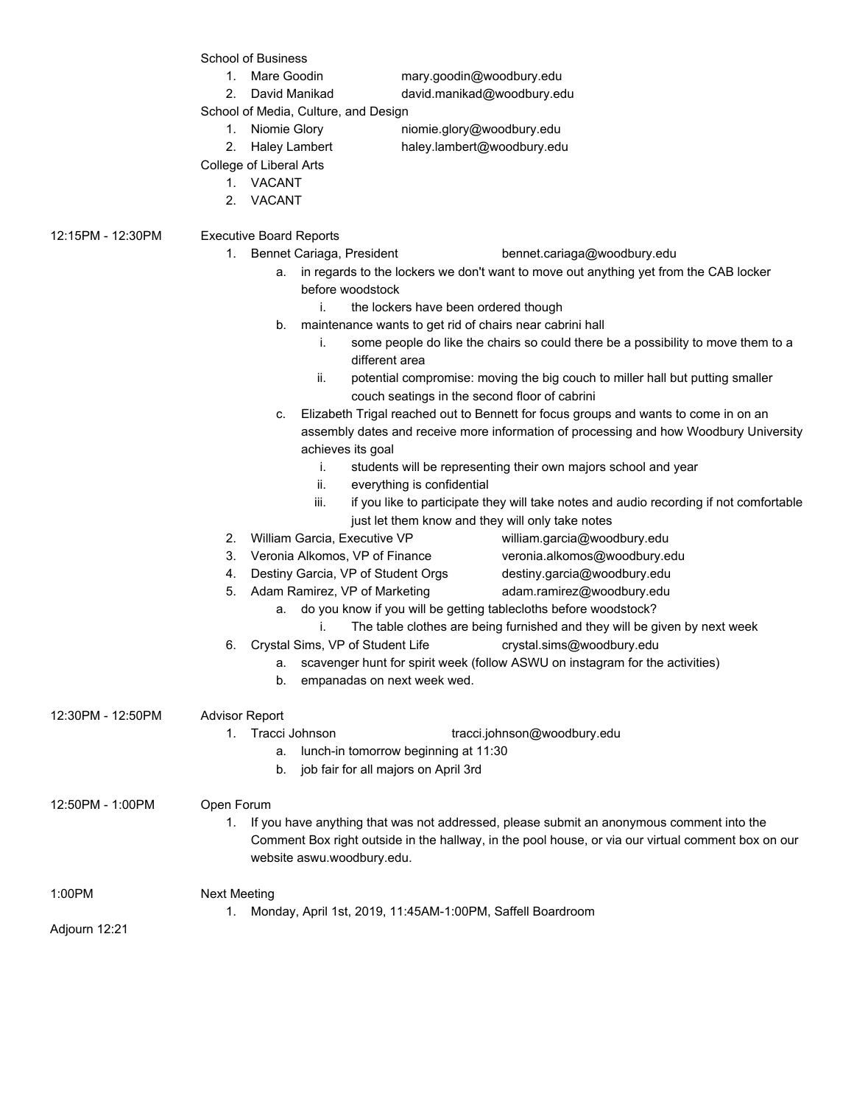School of Business

- 
- 1. Mare Goodin mary.goodin@woodbury.edu
- 2. David Manikad david.manikad@woodbury.edu

School of Media, Culture, and Design

- 1. Niomie Glory niomie.glory@woodbury.edu
- 2. Haley Lambert haley.lambert@woodbury.edu
	-
- College of Liberal Arts
	- 1. VACANT
	- 2. VACANT
- 12:15PM 12:30PM Executive Board Reports
	- 1. Bennet Cariaga, President bennet.cariaga@woodbury.edu
		- a. in regards to the lockers we don't want to move out anything yet from the CAB locker before woodstock
			- i. the lockers have been ordered though
		- b. maintenance wants to get rid of chairs near cabrini hall
			- i. some people do like the chairs so could there be a possibility to move them to a different area
			- ii. potential compromise: moving the big couch to miller hall but putting smaller couch seatings in the second floor of cabrini
		- c. Elizabeth Trigal reached out to Bennett for focus groups and wants to come in on an assembly dates and receive more information of processing and how Woodbury University achieves its goal
			- i. students will be representing their own majors school and year
			- ii. everything is confidential
			- iii. if you like to participate they will take notes and audio recording if not comfortable just let them know and they will only take notes
	- 2. William Garcia, Executive VP william.garcia@woodbury.edu
		-
	- 3. Veronia Alkomos, VP of Finance veronia.alkomos@woodbury.edu
	- 4. Destiny Garcia, VP of Student Orgs destiny.garcia@woodbury.edu
	- 5. Adam Ramirez, VP of Marketing adam.ramirez@woodbury.edu
		- a. do you know if you will be getting tablecloths before woodstock?
			- i. The table clothes are being furnished and they will be given by next week
	- 6. Crystal Sims, VP of Student Life crystal.sims@woodbury.edu
		- a. scavenger hunt for spirit week (follow ASWU on instagram for the activities)
			- b. empanadas on next week wed.

| 12:30PM - 12:50PM | <b>Advisor Report</b> |  |
|-------------------|-----------------------|--|
|                   | Tracci John           |  |

- Tracci Johnson tracci.johnson@woodbury.edu
	- a. lunch-in tomorrow beginning at 11:30
	- b. job fair for all majors on April 3rd

12:50PM - 1:00PM Open Forum

- 1. If you have anything that was not addressed, please submit an anonymous comment into the Comment Box right outside in the hallway, in the pool house, or via our virtual comment box on our website aswu.woodbury.edu.
- 1:00PM Next Meeting
	- 1. Monday, April 1st, 2019, 11:45AM-1:00PM, Saffell Boardroom

Adjourn 12:21

- -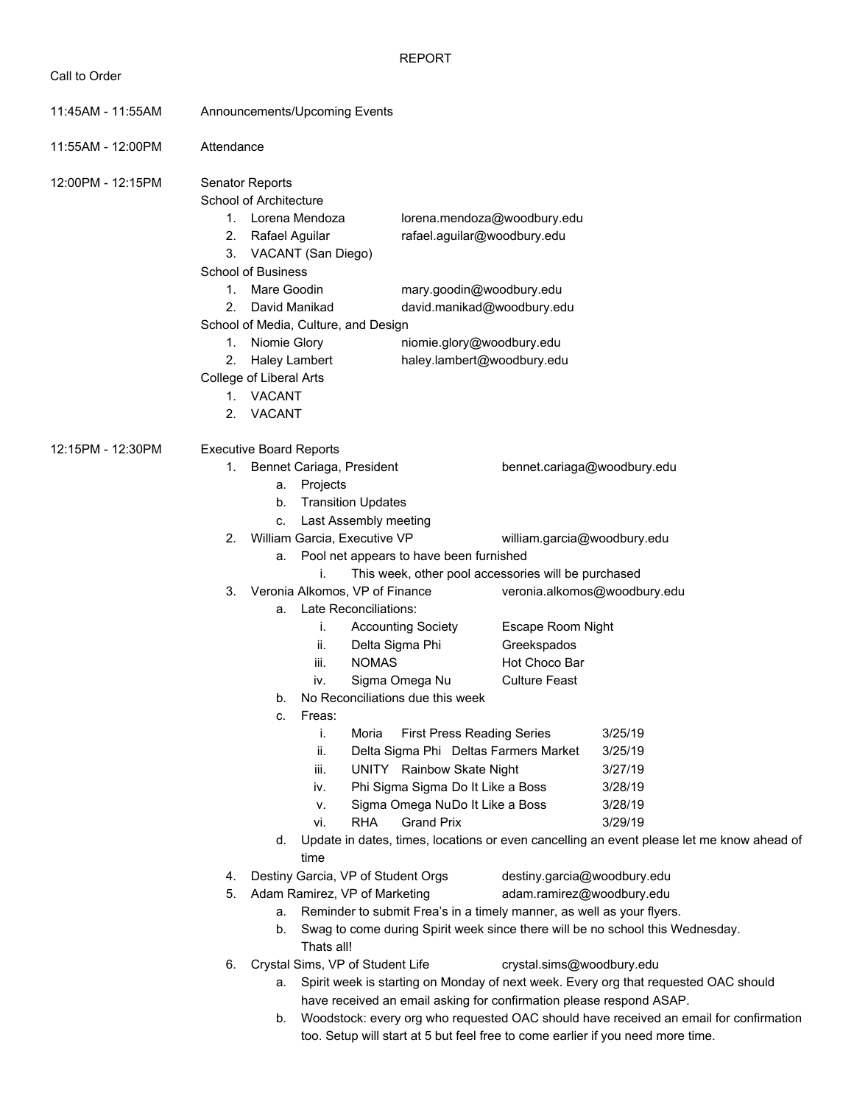REPORT

| 11:45AM - 11:55AM | Announcements/Upcoming Events                                                                                       |                                                                                                      |                                   |                                                                       |                                                                                           |  |  |  |
|-------------------|---------------------------------------------------------------------------------------------------------------------|------------------------------------------------------------------------------------------------------|-----------------------------------|-----------------------------------------------------------------------|-------------------------------------------------------------------------------------------|--|--|--|
| 11:55AM - 12:00PM | Attendance                                                                                                          |                                                                                                      |                                   |                                                                       |                                                                                           |  |  |  |
| 12:00PM - 12:15PM | Senator Reports<br>School of Architecture<br>1. Lorena Mendoza<br>2.<br>Rafael Aguilar<br><b>School of Business</b> | 3. VACANT (San Diego)                                                                                |                                   | lorena.mendoza@woodbury.edu<br>rafael.aguilar@woodbury.edu            |                                                                                           |  |  |  |
|                   | Mare Goodin<br>1.                                                                                                   |                                                                                                      |                                   | mary.goodin@woodbury.edu                                              |                                                                                           |  |  |  |
|                   | 2.                                                                                                                  | David Manikad                                                                                        |                                   | david.manikad@woodbury.edu                                            |                                                                                           |  |  |  |
|                   | 1. Niomie Glory                                                                                                     | School of Media, Culture, and Design                                                                 |                                   |                                                                       |                                                                                           |  |  |  |
|                   | 2.                                                                                                                  |                                                                                                      |                                   | niomie.glory@woodbury.edu<br>haley.lambert@woodbury.edu               |                                                                                           |  |  |  |
|                   |                                                                                                                     | <b>Haley Lambert</b><br>College of Liberal Arts                                                      |                                   |                                                                       |                                                                                           |  |  |  |
|                   | 1. VACANT                                                                                                           |                                                                                                      |                                   |                                                                       |                                                                                           |  |  |  |
|                   | <b>VACANT</b><br>2.                                                                                                 |                                                                                                      |                                   |                                                                       |                                                                                           |  |  |  |
| 12:15PM - 12:30PM | <b>Executive Board Reports</b>                                                                                      |                                                                                                      |                                   |                                                                       |                                                                                           |  |  |  |
|                   | b.                                                                                                                  | 1. Bennet Cariaga, President<br>a. Projects<br><b>Transition Updates</b><br>c. Last Assembly meeting |                                   |                                                                       | bennet.cariaga@woodbury.edu                                                               |  |  |  |
|                   | 2.                                                                                                                  | William Garcia, Executive VP                                                                         |                                   |                                                                       |                                                                                           |  |  |  |
|                   |                                                                                                                     | william.garcia@woodbury.edu<br>Pool net appears to have been furnished<br>а.                         |                                   |                                                                       |                                                                                           |  |  |  |
|                   |                                                                                                                     | i.                                                                                                   |                                   | This week, other pool accessories will be purchased                   |                                                                                           |  |  |  |
|                   | 3.                                                                                                                  | Veronia Alkomos, VP of Finance                                                                       |                                   |                                                                       | veronia.alkomos@woodbury.edu                                                              |  |  |  |
|                   |                                                                                                                     | a. Late Reconciliations:                                                                             |                                   |                                                                       |                                                                                           |  |  |  |
|                   |                                                                                                                     | i.                                                                                                   | <b>Accounting Society</b>         | Escape Room Night                                                     |                                                                                           |  |  |  |
|                   |                                                                                                                     | ii.                                                                                                  | Delta Sigma Phi                   | Greekspados                                                           |                                                                                           |  |  |  |
|                   |                                                                                                                     | iii.<br><b>NOMAS</b>                                                                                 |                                   | Hot Choco Bar                                                         |                                                                                           |  |  |  |
|                   |                                                                                                                     | İV.                                                                                                  | Sigma Omega Nu                    | <b>Culture Feast</b>                                                  |                                                                                           |  |  |  |
|                   | b.<br>C.                                                                                                            | Freas:                                                                                               | No Reconciliations due this week  |                                                                       |                                                                                           |  |  |  |
|                   |                                                                                                                     | Moria<br>T.                                                                                          | <b>First Press Reading Series</b> |                                                                       | 3/25/19                                                                                   |  |  |  |
|                   |                                                                                                                     | ii.                                                                                                  |                                   | Delta Sigma Phi Deltas Farmers Market                                 | 3/25/19                                                                                   |  |  |  |
|                   |                                                                                                                     | iii.                                                                                                 | UNITY Rainbow Skate Night         |                                                                       | 3/27/19                                                                                   |  |  |  |
|                   |                                                                                                                     | iv.                                                                                                  | Phi Sigma Sigma Do It Like a Boss |                                                                       | 3/28/19                                                                                   |  |  |  |
|                   |                                                                                                                     | ν.                                                                                                   | Sigma Omega NuDo It Like a Boss   |                                                                       | 3/28/19                                                                                   |  |  |  |
|                   |                                                                                                                     | vi.<br><b>RHA</b>                                                                                    | <b>Grand Prix</b>                 |                                                                       | 3/29/19                                                                                   |  |  |  |
|                   | d.                                                                                                                  |                                                                                                      |                                   |                                                                       | Update in dates, times, locations or even cancelling an event please let me know ahead of |  |  |  |
|                   |                                                                                                                     | time                                                                                                 |                                   |                                                                       |                                                                                           |  |  |  |
|                   | 4.                                                                                                                  | Destiny Garcia, VP of Student Orgs                                                                   |                                   | destiny.garcia@woodbury.edu                                           |                                                                                           |  |  |  |
|                   | 5.                                                                                                                  | Adam Ramirez, VP of Marketing                                                                        |                                   | adam.ramirez@woodbury.edu                                             |                                                                                           |  |  |  |
|                   | а.                                                                                                                  |                                                                                                      |                                   | Reminder to submit Frea's in a timely manner, as well as your flyers. |                                                                                           |  |  |  |
|                   | b.                                                                                                                  | Thats all!                                                                                           |                                   |                                                                       | Swag to come during Spirit week since there will be no school this Wednesday.             |  |  |  |
|                   | 6.                                                                                                                  | Crystal Sims, VP of Student Life                                                                     |                                   | crystal.sims@woodbury.edu                                             |                                                                                           |  |  |  |
|                   | a.                                                                                                                  |                                                                                                      |                                   |                                                                       | Spirit week is starting on Monday of next week. Every org that requested OAC should       |  |  |  |
|                   |                                                                                                                     |                                                                                                      |                                   | have received an email asking for confirmation please respond ASAP.   |                                                                                           |  |  |  |
|                   | b.                                                                                                                  |                                                                                                      |                                   |                                                                       | Woodstock: every org who requested OAC should have received an email for confirmation     |  |  |  |

too. Setup will start at 5 but feel free to come earlier if you need more time.